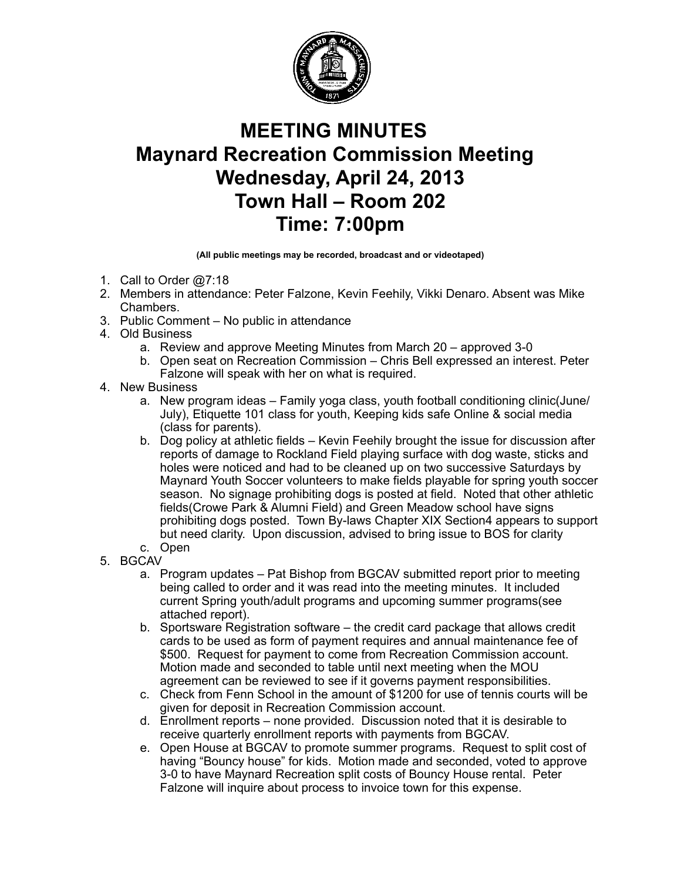

## **MEETING MINUTES Maynard Recreation Commission Meeting Wednesday, April 24, 2013 Town Hall – Room 202 Time: 7:00pm**

**(All public meetings may be recorded, broadcast and or videotaped)**

- 1. Call to Order @7:18
- 2. Members in attendance: Peter Falzone, Kevin Feehily, Vikki Denaro. Absent was Mike Chambers.
- 3. Public Comment No public in attendance
- 4. Old Business
	- a. Review and approve Meeting Minutes from March 20 approved 3-0
	- b. Open seat on Recreation Commission Chris Bell expressed an interest. Peter Falzone will speak with her on what is required.
- 4. New Business
	- a. New program ideas Family yoga class, youth football conditioning clinic(June/ July), Etiquette 101 class for youth, Keeping kids safe Online & social media (class for parents).
	- b. Dog policy at athletic fields Kevin Feehily brought the issue for discussion after reports of damage to Rockland Field playing surface with dog waste, sticks and holes were noticed and had to be cleaned up on two successive Saturdays by Maynard Youth Soccer volunteers to make fields playable for spring youth soccer season. No signage prohibiting dogs is posted at field. Noted that other athletic fields(Crowe Park & Alumni Field) and Green Meadow school have signs prohibiting dogs posted. Town By-laws Chapter XIX Section4 appears to support but need clarity. Upon discussion, advised to bring issue to BOS for clarity
	- c. Open
- 5. BGCAV
	- a. Program updates Pat Bishop from BGCAV submitted report prior to meeting being called to order and it was read into the meeting minutes. It included current Spring youth/adult programs and upcoming summer programs(see attached report).
	- b. Sportsware Registration software the credit card package that allows credit cards to be used as form of payment requires and annual maintenance fee of \$500. Request for payment to come from Recreation Commission account. Motion made and seconded to table until next meeting when the MOU agreement can be reviewed to see if it governs payment responsibilities.
	- c. Check from Fenn School in the amount of \$1200 for use of tennis courts will be given for deposit in Recreation Commission account.
	- d. Enrollment reports none provided. Discussion noted that it is desirable to receive quarterly enrollment reports with payments from BGCAV.
	- e. Open House at BGCAV to promote summer programs. Request to split cost of having "Bouncy house" for kids. Motion made and seconded, voted to approve 3-0 to have Maynard Recreation split costs of Bouncy House rental. Peter Falzone will inquire about process to invoice town for this expense.